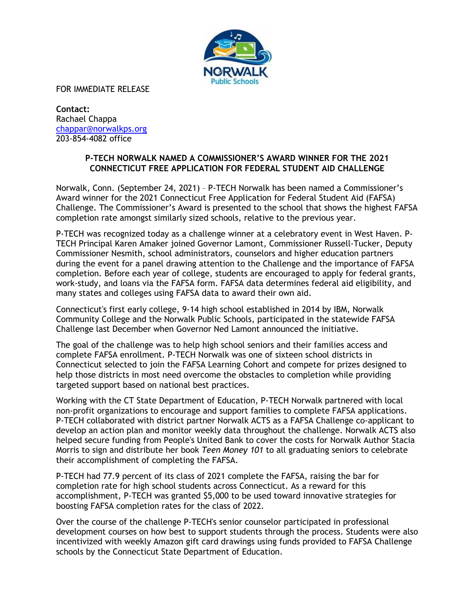

FOR IMMEDIATE RELEASE

**Contact:** Rachael Chappa chappar@norwalkps.org 203-854-4082 office

## **P-TECH NORWALK NAMED A COMMISSIONER'S AWARD WINNER FOR THE 2021 CONNECTICUT FREE APPLICATION FOR FEDERAL STUDENT AID CHALLENGE**

Norwalk, Conn. (September 24, 2021) – P-TECH Norwalk has been named a Commissioner's Award winner for the 2021 Connecticut Free Application for Federal Student Aid (FAFSA) Challenge. The Commissioner's Award is presented to the school that shows the highest FAFSA completion rate amongst similarly sized schools, relative to the previous year.

P-TECH was recognized today as a challenge winner at a celebratory event in West Haven. P-TECH Principal Karen Amaker joined Governor Lamont, Commissioner Russell-Tucker, Deputy Commissioner Nesmith, school administrators, counselors and higher education partners during the event for a panel drawing attention to the Challenge and the importance of FAFSA completion. Before each year of college, students are encouraged to apply for federal grants, work-study, and loans via the FAFSA form. FAFSA data determines federal aid eligibility, and many states and colleges using FAFSA data to award their own aid.

Connecticut's first early college, 9-14 high school established in 2014 by IBM, Norwalk Community College and the Norwalk Public Schools, participated in the statewide FAFSA Challenge last December when Governor Ned Lamont announced the initiative.

The goal of the challenge was to help high school seniors and their families access and complete FAFSA enrollment. P-TECH Norwalk was one of sixteen school districts in Connecticut selected to join the FAFSA Learning Cohort and compete for prizes designed to help those districts in most need overcome the obstacles to completion while providing targeted support based on national best practices.

Working with the CT State Department of Education, P-TECH Norwalk partnered with local non-profit organizations to encourage and support families to complete FAFSA applications. P-TECH collaborated with district partner Norwalk ACTS as a FAFSA Challenge co-applicant to develop an action plan and monitor weekly data throughout the challenge. Norwalk ACTS also helped secure funding from People's United Bank to cover the costs for Norwalk Author Stacia Morris to sign and distribute her book *Teen Money 101* to all graduating seniors to celebrate their accomplishment of completing the FAFSA.

P-TECH had 77.9 percent of its class of 2021 complete the FAFSA, raising the bar for completion rate for high school students across Connecticut. As a reward for this accomplishment, P-TECH was granted \$5,000 to be used toward innovative strategies for boosting FAFSA completion rates for the class of 2022.

Over the course of the challenge P-TECH's senior counselor participated in professional development courses on how best to support students through the process. Students were also incentivized with weekly Amazon gift card drawings using funds provided to FAFSA Challenge schools by the Connecticut State Department of Education.